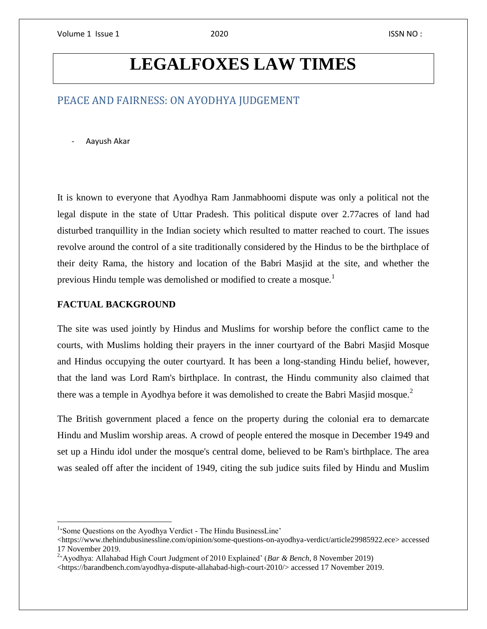# **LEGALFOXES LAW TIMES**

# PEACE AND FAIRNESS: ON AYODHYA JUDGEMENT

- Aayush Akar

It is known to everyone that Ayodhya Ram Janmabhoomi dispute was only a political not the legal dispute in the state of Uttar Pradesh. This political dispute over 2.77acres of land had disturbed tranquillity in the Indian society which resulted to matter reached to court. The issues revolve around the control of a site traditionally considered by the Hindus to be the birthplace of their deity Rama, the history and location of the Babri Masjid at the site, and whether the previous Hindu temple was demolished or modified to create a mosque.<sup>1</sup>

#### **FACTUAL BACKGROUND**

 $\overline{a}$ 

The site was used jointly by Hindus and Muslims for worship before the conflict came to the courts, with Muslims holding their prayers in the inner courtyard of the Babri Masjid Mosque and Hindus occupying the outer courtyard. It has been a long-standing Hindu belief, however, that the land was Lord Ram's birthplace. In contrast, the Hindu community also claimed that there was a temple in Ayodhya before it was demolished to create the Babri Masjid mosque.<sup>2</sup>

The British government placed a fence on the property during the colonial era to demarcate Hindu and Muslim worship areas. A crowd of people entered the mosque in December 1949 and set up a Hindu idol under the mosque's central dome, believed to be Ram's birthplace. The area was sealed off after the incident of 1949, citing the sub judice suits filed by Hindu and Muslim

<sup>&</sup>lt;sup>1</sup>'Some Questions on the Ayodhya Verdict - The Hindu BusinessLine'

<sup>&</sup>lt;https://www.thehindubusinessline.com/opinion/some-questions-on-ayodhya-verdict/article29985922.ece> accessed 17 November 2019.

<sup>2</sup> 'Ayodhya: Allahabad High Court Judgment of 2010 Explained' (*Bar & Bench*, 8 November 2019)

<sup>&</sup>lt;https://barandbench.com/ayodhya-dispute-allahabad-high-court-2010/> accessed 17 November 2019.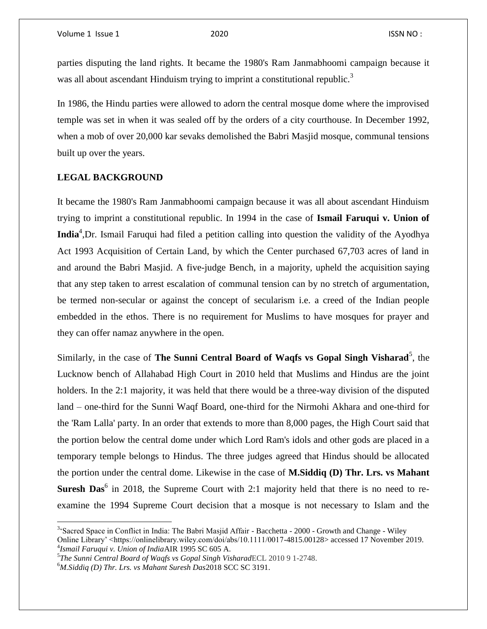parties disputing the land rights. It became the 1980's Ram Janmabhoomi campaign because it was all about ascendant Hinduism trying to imprint a constitutional republic.<sup>3</sup>

In 1986, the Hindu parties were allowed to adorn the central mosque dome where the improvised temple was set in when it was sealed off by the orders of a city courthouse. In December 1992, when a mob of over 20,000 kar sevaks demolished the Babri Masjid mosque, communal tensions built up over the years.

## **LEGAL BACKGROUND**

It became the 1980's Ram Janmabhoomi campaign because it was all about ascendant Hinduism trying to imprint a constitutional republic. In 1994 in the case of **Ismail Faruqui v. Union of India**<sup>4</sup> ,Dr. Ismail Faruqui had filed a petition calling into question the validity of the Ayodhya Act 1993 Acquisition of Certain Land, by which the Center purchased 67,703 acres of land in and around the Babri Masjid. A five-judge Bench, in a majority, upheld the acquisition saying that any step taken to arrest escalation of communal tension can by no stretch of argumentation, be termed non-secular or against the concept of secularism i.e. a creed of the Indian people embedded in the ethos. There is no requirement for Muslims to have mosques for prayer and they can offer namaz anywhere in the open.

Similarly, in the case of **The Sunni Central Board of Waqfs vs Gopal Singh Visharad**<sup>5</sup>, the Lucknow bench of Allahabad High Court in 2010 held that Muslims and Hindus are the joint holders. In the 2:1 majority, it was held that there would be a three-way division of the disputed land – one-third for the Sunni Waqf Board, one-third for the Nirmohi Akhara and one-third for the 'Ram Lalla' party. In an order that extends to more than 8,000 pages, the High Court said that the portion below the central dome under which Lord Ram's idols and other gods are placed in a temporary temple belongs to Hindus. The three judges agreed that Hindus should be allocated the portion under the central dome. Likewise in the case of **M.Siddiq (D) Thr. Lrs. vs Mahant Suresh Das**<sup>6</sup> in 2018, the Supreme Court with 2:1 majority held that there is no need to reexamine the 1994 Supreme Court decision that a mosque is not necessary to Islam and the

 $\overline{a}$ 

<sup>&</sup>lt;sup>3</sup>'Sacred Space in Conflict in India: The Babri Masjid Affair - Bacchetta - 2000 - Growth and Change - Wiley Online Library' <https://onlinelibrary.wiley.com/doi/abs/10.1111/0017-4815.00128> accessed 17 November 2019. 4 *Ismail Faruqui v. Union of India*AIR 1995 SC 605 A.

<sup>5</sup> *The Sunni Central Board of Waqfs vs Gopal Singh Visharad*ECL 2010 9 1-2748.

<sup>6</sup>*M.Siddiq (D) Thr. Lrs. vs Mahant Suresh Das*2018 SCC SC 3191.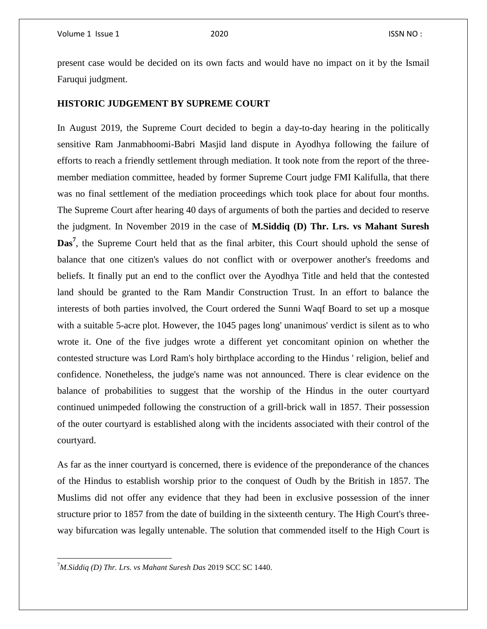present case would be decided on its own facts and would have no impact on it by the Ismail Faruqui judgment.

#### **HISTORIC JUDGEMENT BY SUPREME COURT**

In August 2019, the Supreme Court decided to begin a day-to-day hearing in the politically sensitive Ram Janmabhoomi-Babri Masjid land dispute in Ayodhya following the failure of efforts to reach a friendly settlement through mediation. It took note from the report of the threemember mediation committee, headed by former Supreme Court judge FMI Kalifulla, that there was no final settlement of the mediation proceedings which took place for about four months. The Supreme Court after hearing 40 days of arguments of both the parties and decided to reserve the judgment. In November 2019 in the case of **M.Siddiq (D) Thr. Lrs. vs Mahant Suresh**  Das<sup>7</sup>, the Supreme Court held that as the final arbiter, this Court should uphold the sense of balance that one citizen's values do not conflict with or overpower another's freedoms and beliefs. It finally put an end to the conflict over the Ayodhya Title and held that the contested land should be granted to the Ram Mandir Construction Trust. In an effort to balance the interests of both parties involved, the Court ordered the Sunni Waqf Board to set up a mosque with a suitable 5-acre plot. However, the 1045 pages long' unanimous' verdict is silent as to who wrote it. One of the five judges wrote a different yet concomitant opinion on whether the contested structure was Lord Ram's holy birthplace according to the Hindus ' religion, belief and confidence. Nonetheless, the judge's name was not announced. There is clear evidence on the balance of probabilities to suggest that the worship of the Hindus in the outer courtyard continued unimpeded following the construction of a grill-brick wall in 1857. Their possession of the outer courtyard is established along with the incidents associated with their control of the courtyard.

As far as the inner courtyard is concerned, there is evidence of the preponderance of the chances of the Hindus to establish worship prior to the conquest of Oudh by the British in 1857. The Muslims did not offer any evidence that they had been in exclusive possession of the inner structure prior to 1857 from the date of building in the sixteenth century. The High Court's threeway bifurcation was legally untenable. The solution that commended itself to the High Court is

 $\overline{\phantom{a}}$ 

<sup>7</sup>*M.Siddiq (D) Thr. Lrs. vs Mahant Suresh Das* 2019 SCC SC 1440.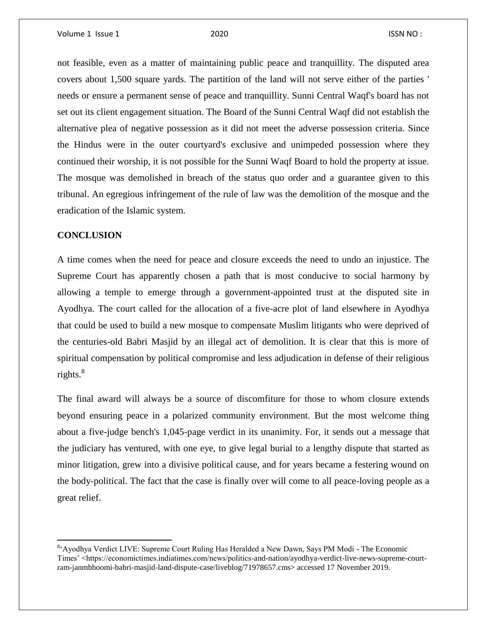not feasible, even as a matter of maintaining public peace and tranquillity. The disputed area covers about 1,500 square yards. The partition of the land will not serve either of the parties ' needs or ensure a permanent sense of peace and tranquillity. Sunni Central Waqf's board has not set out its client engagement situation. The Board of the Sunni Central Waqf did not establish the alternative plea of negative possession as it did not meet the adverse possession criteria. Since the Hindus were in the outer courtyard's exclusive and unimpeded possession where they continued their worship, it is not possible for the Sunni Waqf Board to hold the property at issue. The mosque was demolished in breach of the status quo order and a guarantee given to this tribunal. An egregious infringement of the rule of law was the demolition of the mosque and the eradication of the Islamic system.

### **CONCLUSION**

 $\overline{\phantom{a}}$ 

A time comes when the need for peace and closure exceeds the need to undo an injustice. The Supreme Court has apparently chosen a path that is most conducive to social harmony by allowing a temple to emerge through a government-appointed trust at the disputed site in Ayodhya. The court called for the allocation of a five-acre plot of land elsewhere in Ayodhya that could be used to build a new mosque to compensate Muslim litigants who were deprived of the centuries-old Babri Masjid by an illegal act of demolition. It is clear that this is more of spiritual compensation by political compromise and less adjudication in defense of their religious rights. $8^8$ 

The final award will always be a source of discomfiture for those to whom closure extends beyond ensuring peace in a polarized community environment. But the most welcome thing about a five-judge bench's 1,045-page verdict in its unanimity. For, it sends out a message that the judiciary has ventured, with one eye, to give legal burial to a lengthy dispute that started as minor litigation, grew into a divisive political cause, and for years became a festering wound on the body-political. The fact that the case is finally over will come to all peace-loving people as a great relief.

<sup>&</sup>lt;sup>8</sup> Ayodhya Verdict LIVE: Supreme Court Ruling Has Heralded a New Dawn, Says PM Modi - The Economic Times' <https://economictimes.indiatimes.com/news/politics-and-nation/ayodhya-verdict-live-news-supreme-courtram-janmbhoomi-babri-masjid-land-dispute-case/liveblog/71978657.cms> accessed 17 November 2019.